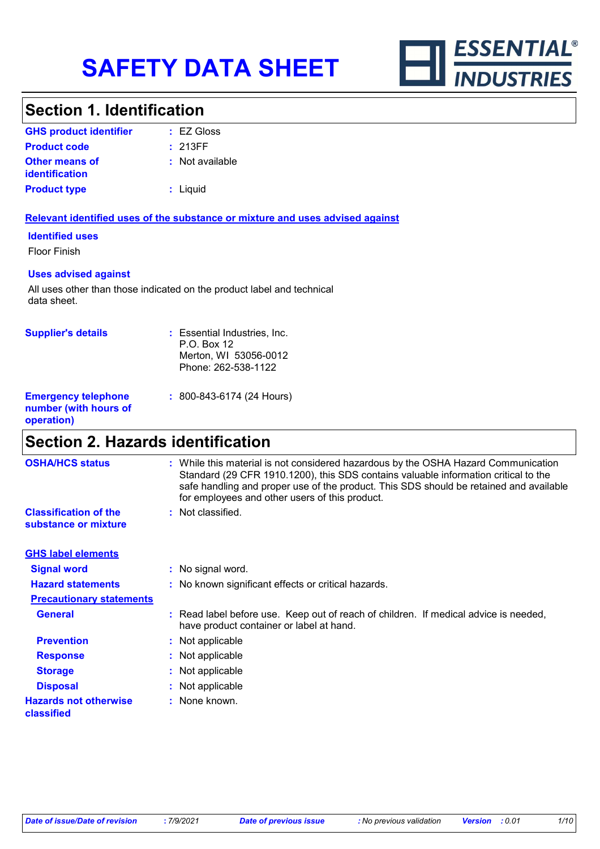

### **Section 1. Identification**

| <b>GHS product identifier</b>                  | $\pm$ EZ Gloss  |
|------------------------------------------------|-----------------|
| <b>Product code</b>                            | : 213FF         |
| <b>Other means of</b><br><i>identification</i> | : Not available |
| <b>Product type</b>                            | : Liquid        |

#### **Relevant identified uses of the substance or mixture and uses advised against**

**Identified uses**

Floor Finish

#### **Uses advised against**

All uses other than those indicated on the product label and technical data sheet.

| <b>Supplier's details</b>                                         | : Essential Industries, Inc.<br>$P.O.$ Box 12<br>Merton, WI 53056-0012<br>Phone: 262-538-1122 |
|-------------------------------------------------------------------|-----------------------------------------------------------------------------------------------|
| <b>Emergency telephone</b><br>number (with hours of<br>operation) | : 800-843-6174 (24 Hours)                                                                     |

# **Section 2. Hazards identification**

| <b>OSHA/HCS status</b>                               | : While this material is not considered hazardous by the OSHA Hazard Communication<br>Standard (29 CFR 1910.1200), this SDS contains valuable information critical to the<br>safe handling and proper use of the product. This SDS should be retained and available<br>for employees and other users of this product. |
|------------------------------------------------------|-----------------------------------------------------------------------------------------------------------------------------------------------------------------------------------------------------------------------------------------------------------------------------------------------------------------------|
| <b>Classification of the</b><br>substance or mixture | : Not classified.                                                                                                                                                                                                                                                                                                     |
| <b>GHS label elements</b>                            |                                                                                                                                                                                                                                                                                                                       |
| <b>Signal word</b>                                   | : No signal word.                                                                                                                                                                                                                                                                                                     |
| <b>Hazard statements</b>                             | : No known significant effects or critical hazards.                                                                                                                                                                                                                                                                   |
| <b>Precautionary statements</b>                      |                                                                                                                                                                                                                                                                                                                       |
| <b>General</b>                                       | : Read label before use. Keep out of reach of children. If medical advice is needed,<br>have product container or label at hand.                                                                                                                                                                                      |
| <b>Prevention</b>                                    | : Not applicable                                                                                                                                                                                                                                                                                                      |
| <b>Response</b>                                      | : Not applicable                                                                                                                                                                                                                                                                                                      |
| <b>Storage</b>                                       | : Not applicable                                                                                                                                                                                                                                                                                                      |
| <b>Disposal</b>                                      | : Not applicable                                                                                                                                                                                                                                                                                                      |
| <b>Hazards not otherwise</b><br>classified           | : None known.                                                                                                                                                                                                                                                                                                         |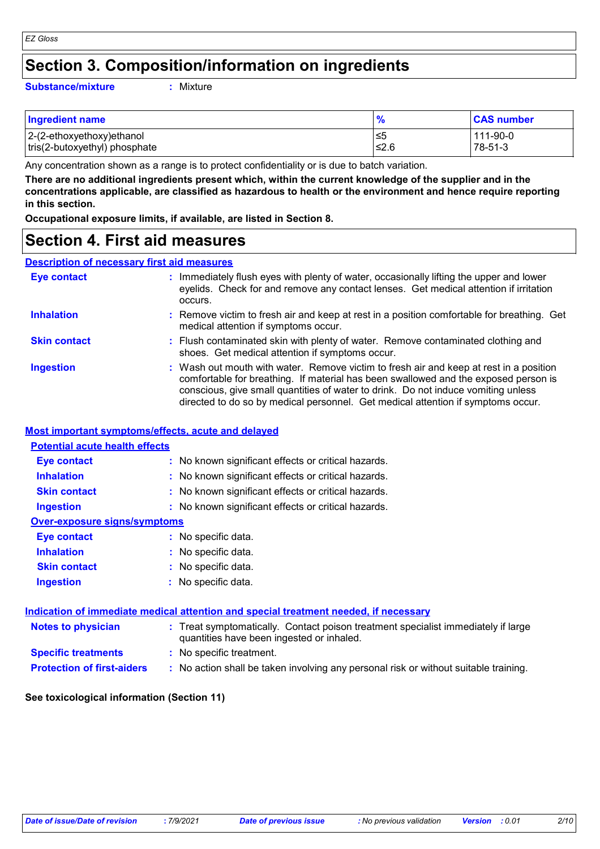### **Section 3. Composition/information on ingredients**

#### **Substance/mixture :**

Mixture

| <b>Ingredient name</b>        |       | <b>CAS number</b> |
|-------------------------------|-------|-------------------|
| 2-(2-ethoxyethoxy)ethanol     | l≤5   | 111-90-0          |
| tris(2-butoxyethyl) phosphate | ⊩≤2.6 | $78-51-3$         |

Any concentration shown as a range is to protect confidentiality or is due to batch variation.

**There are no additional ingredients present which, within the current knowledge of the supplier and in the concentrations applicable, are classified as hazardous to health or the environment and hence require reporting in this section.**

**Occupational exposure limits, if available, are listed in Section 8.**

### **Section 4. First aid measures**

#### **Description of necessary first aid measures**

| <b>Eye contact</b>  | : Immediately flush eyes with plenty of water, occasionally lifting the upper and lower<br>eyelids. Check for and remove any contact lenses. Get medical attention if irritation<br>occurs.                                                                                                                                                            |
|---------------------|--------------------------------------------------------------------------------------------------------------------------------------------------------------------------------------------------------------------------------------------------------------------------------------------------------------------------------------------------------|
| <b>Inhalation</b>   | : Remove victim to fresh air and keep at rest in a position comfortable for breathing. Get<br>medical attention if symptoms occur.                                                                                                                                                                                                                     |
| <b>Skin contact</b> | : Flush contaminated skin with plenty of water. Remove contaminated clothing and<br>shoes. Get medical attention if symptoms occur.                                                                                                                                                                                                                    |
| <b>Ingestion</b>    | : Wash out mouth with water. Remove victim to fresh air and keep at rest in a position<br>comfortable for breathing. If material has been swallowed and the exposed person is<br>conscious, give small quantities of water to drink. Do not induce vomiting unless<br>directed to do so by medical personnel. Get medical attention if symptoms occur. |

#### **Most important symptoms/effects, acute and delayed**

| <b>Potential acute health effects</b> |                                                                                                                                |
|---------------------------------------|--------------------------------------------------------------------------------------------------------------------------------|
| <b>Eye contact</b>                    | : No known significant effects or critical hazards.                                                                            |
| <b>Inhalation</b>                     | : No known significant effects or critical hazards.                                                                            |
| <b>Skin contact</b>                   | : No known significant effects or critical hazards.                                                                            |
| <b>Ingestion</b>                      | : No known significant effects or critical hazards.                                                                            |
| <b>Over-exposure signs/symptoms</b>   |                                                                                                                                |
| <b>Eye contact</b>                    | : No specific data.                                                                                                            |
| <b>Inhalation</b>                     | : No specific data.                                                                                                            |
| <b>Skin contact</b>                   | : No specific data.                                                                                                            |
| <b>Ingestion</b>                      | : No specific data.                                                                                                            |
|                                       | <u>Indication of immediate medical attention and special treatment needed, if necessary</u>                                    |
| <b>Notes to physician</b>             | : Treat symptomatically. Contact poison treatment specialist immediately if large<br>quantities have been ingested or inhaled. |
| <b>Specific treatments</b>            | : No specific treatment.                                                                                                       |
| <b>Protection of first-aiders</b>     | : No action shall be taken involving any personal risk or without suitable training.                                           |

#### **See toxicological information (Section 11)**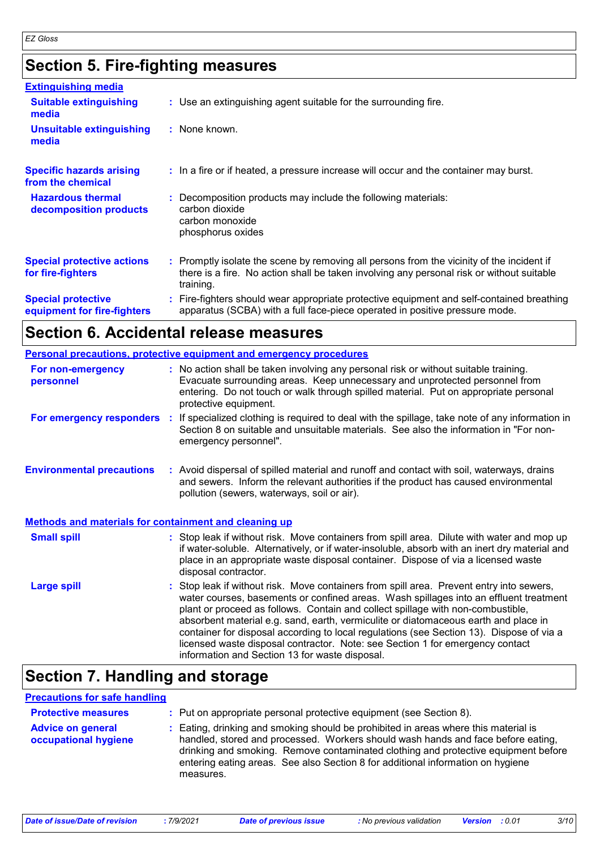# **Section 5. Fire-fighting measures**

| <b>Extinguishing media</b>                               |                                                                                                                                                                                                     |  |
|----------------------------------------------------------|-----------------------------------------------------------------------------------------------------------------------------------------------------------------------------------------------------|--|
| <b>Suitable extinguishing</b><br>media                   | : Use an extinguishing agent suitable for the surrounding fire.                                                                                                                                     |  |
| <b>Unsuitable extinguishing</b><br>media                 | : None known.                                                                                                                                                                                       |  |
| <b>Specific hazards arising</b><br>from the chemical     | : In a fire or if heated, a pressure increase will occur and the container may burst.                                                                                                               |  |
| <b>Hazardous thermal</b><br>decomposition products       | : Decomposition products may include the following materials:<br>carbon dioxide<br>carbon monoxide<br>phosphorus oxides                                                                             |  |
| <b>Special protective actions</b><br>for fire-fighters   | : Promptly isolate the scene by removing all persons from the vicinity of the incident if<br>there is a fire. No action shall be taken involving any personal risk or without suitable<br>training. |  |
| <b>Special protective</b><br>equipment for fire-fighters | : Fire-fighters should wear appropriate protective equipment and self-contained breathing<br>apparatus (SCBA) with a full face-piece operated in positive pressure mode.                            |  |

# **Section 6. Accidental release measures**

|                                                              | <b>Personal precautions, protective equipment and emergency procedures</b>                                                                                                                                                                                                                                                                                                                                                                                                                                                                                                                 |
|--------------------------------------------------------------|--------------------------------------------------------------------------------------------------------------------------------------------------------------------------------------------------------------------------------------------------------------------------------------------------------------------------------------------------------------------------------------------------------------------------------------------------------------------------------------------------------------------------------------------------------------------------------------------|
| For non-emergency<br>personnel                               | : No action shall be taken involving any personal risk or without suitable training.<br>Evacuate surrounding areas. Keep unnecessary and unprotected personnel from<br>entering. Do not touch or walk through spilled material. Put on appropriate personal<br>protective equipment.                                                                                                                                                                                                                                                                                                       |
|                                                              | For emergency responders : If specialized clothing is required to deal with the spillage, take note of any information in<br>Section 8 on suitable and unsuitable materials. See also the information in "For non-<br>emergency personnel".                                                                                                                                                                                                                                                                                                                                                |
| <b>Environmental precautions</b>                             | : Avoid dispersal of spilled material and runoff and contact with soil, waterways, drains<br>and sewers. Inform the relevant authorities if the product has caused environmental<br>pollution (sewers, waterways, soil or air).                                                                                                                                                                                                                                                                                                                                                            |
| <b>Methods and materials for containment and cleaning up</b> |                                                                                                                                                                                                                                                                                                                                                                                                                                                                                                                                                                                            |
| <b>Small spill</b>                                           | : Stop leak if without risk. Move containers from spill area. Dilute with water and mop up<br>if water-soluble. Alternatively, or if water-insoluble, absorb with an inert dry material and<br>place in an appropriate waste disposal container. Dispose of via a licensed waste<br>disposal contractor.                                                                                                                                                                                                                                                                                   |
| <b>Large spill</b>                                           | : Stop leak if without risk. Move containers from spill area. Prevent entry into sewers,<br>water courses, basements or confined areas. Wash spillages into an effluent treatment<br>plant or proceed as follows. Contain and collect spillage with non-combustible,<br>absorbent material e.g. sand, earth, vermiculite or diatomaceous earth and place in<br>container for disposal according to local regulations (see Section 13). Dispose of via a<br>licensed waste disposal contractor. Note: see Section 1 for emergency contact<br>information and Section 13 for waste disposal. |

# **Section 7. Handling and storage**

### **Precautions for safe handling**

| <b>Protective measures</b>                       | : Put on appropriate personal protective equipment (see Section 8).                                                                                                                                                                                                                                                                                           |
|--------------------------------------------------|---------------------------------------------------------------------------------------------------------------------------------------------------------------------------------------------------------------------------------------------------------------------------------------------------------------------------------------------------------------|
| <b>Advice on general</b><br>occupational hygiene | : Eating, drinking and smoking should be prohibited in areas where this material is<br>handled, stored and processed. Workers should wash hands and face before eating,<br>drinking and smoking. Remove contaminated clothing and protective equipment before<br>entering eating areas. See also Section 8 for additional information on hygiene<br>measures. |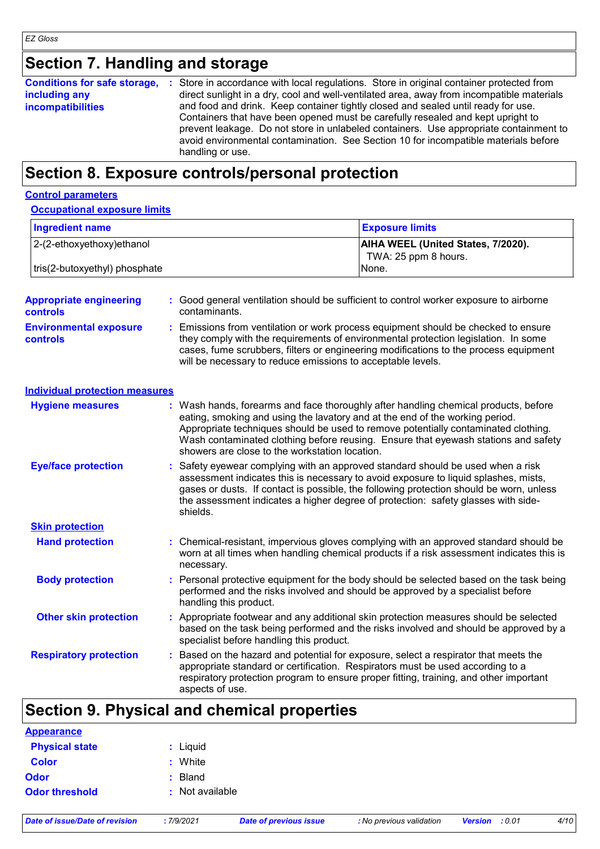# **Section 7. Handling and storage**

| <b>Conditions for safe storage,</b><br>including any<br><b>incompatibilities</b> | : Store in accordance with local regulations. Store in original container protected from<br>direct sunlight in a dry, cool and well-ventilated area, away from incompatible materials<br>and food and drink. Keep container tightly closed and sealed until ready for use.<br>Containers that have been opened must be carefully resealed and kept upright to<br>prevent leakage. Do not store in unlabeled containers. Use appropriate containment to<br>avoid environmental contamination. See Section 10 for incompatible materials before<br>handling or use. |
|----------------------------------------------------------------------------------|-------------------------------------------------------------------------------------------------------------------------------------------------------------------------------------------------------------------------------------------------------------------------------------------------------------------------------------------------------------------------------------------------------------------------------------------------------------------------------------------------------------------------------------------------------------------|
|----------------------------------------------------------------------------------|-------------------------------------------------------------------------------------------------------------------------------------------------------------------------------------------------------------------------------------------------------------------------------------------------------------------------------------------------------------------------------------------------------------------------------------------------------------------------------------------------------------------------------------------------------------------|

# **Section 8. Exposure controls/personal protection**

### **Control parameters**

#### **Occupational exposure limits**

| Ingredient name               | <b>Exposure limits</b>                                            |
|-------------------------------|-------------------------------------------------------------------|
| 2-(2-ethoxyethoxy)ethanol     | <b>AIHA WEEL (United States, 7/2020).</b><br>TWA: 25 ppm 8 hours. |
| tris(2-butoxyethyl) phosphate | None.                                                             |

| <b>Appropriate engineering</b><br><b>controls</b> | Good general ventilation should be sufficient to control worker exposure to airborne<br>contaminants.                                                                                                                                                                                                                                                                                             |
|---------------------------------------------------|---------------------------------------------------------------------------------------------------------------------------------------------------------------------------------------------------------------------------------------------------------------------------------------------------------------------------------------------------------------------------------------------------|
| <b>Environmental exposure</b><br><b>controls</b>  | Emissions from ventilation or work process equipment should be checked to ensure<br>they comply with the requirements of environmental protection legislation. In some<br>cases, fume scrubbers, filters or engineering modifications to the process equipment<br>will be necessary to reduce emissions to acceptable levels.                                                                     |
| <b>Individual protection measures</b>             |                                                                                                                                                                                                                                                                                                                                                                                                   |
| <b>Hygiene measures</b>                           | : Wash hands, forearms and face thoroughly after handling chemical products, before<br>eating, smoking and using the lavatory and at the end of the working period.<br>Appropriate techniques should be used to remove potentially contaminated clothing.<br>Wash contaminated clothing before reusing. Ensure that eyewash stations and safety<br>showers are close to the workstation location. |
| <b>Eye/face protection</b>                        | Safety eyewear complying with an approved standard should be used when a risk<br>assessment indicates this is necessary to avoid exposure to liquid splashes, mists,<br>gases or dusts. If contact is possible, the following protection should be worn, unless<br>the assessment indicates a higher degree of protection: safety glasses with side-<br>shields.                                  |
| <b>Skin protection</b>                            |                                                                                                                                                                                                                                                                                                                                                                                                   |
| <b>Hand protection</b>                            | : Chemical-resistant, impervious gloves complying with an approved standard should be<br>worn at all times when handling chemical products if a risk assessment indicates this is<br>necessary.                                                                                                                                                                                                   |
| <b>Body protection</b>                            | Personal protective equipment for the body should be selected based on the task being<br>performed and the risks involved and should be approved by a specialist before<br>handling this product.                                                                                                                                                                                                 |
| <b>Other skin protection</b>                      | Appropriate footwear and any additional skin protection measures should be selected<br>based on the task being performed and the risks involved and should be approved by a<br>specialist before handling this product.                                                                                                                                                                           |
| <b>Respiratory protection</b>                     | Based on the hazard and potential for exposure, select a respirator that meets the<br>appropriate standard or certification. Respirators must be used according to a<br>respiratory protection program to ensure proper fitting, training, and other important<br>aspects of use.                                                                                                                 |

# **Section 9. Physical and chemical properties**

| <b>Appearance</b>     |                 |
|-----------------------|-----------------|
| <b>Physical state</b> | : Liquid        |
| <b>Color</b>          | : White         |
| <b>Odor</b>           | : Bland         |
| <b>Odor threshold</b> | : Not available |
|                       |                 |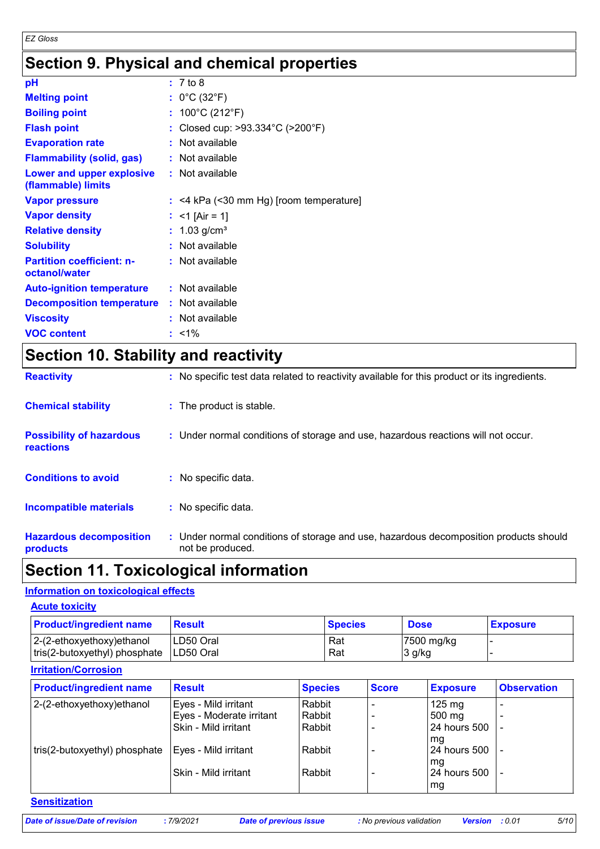# **Section 9. Physical and chemical properties**

| рH                                                |    | : 7 to 8                              |
|---------------------------------------------------|----|---------------------------------------|
| <b>Melting point</b>                              |    | : $0^{\circ}$ C (32 $^{\circ}$ F)     |
| <b>Boiling point</b>                              |    | : $100^{\circ}$ C (212 $^{\circ}$ F)  |
| <b>Flash point</b>                                | t. | Closed cup: >93.334°C (>200°F)        |
| <b>Evaporation rate</b>                           |    | Not available                         |
| <b>Flammability (solid, gas)</b>                  |    | : Not available                       |
| Lower and upper explosive<br>(flammable) limits   |    | : Not available                       |
| <b>Vapor pressure</b>                             | ÷. | <4 kPa (<30 mm Hg) [room temperature] |
| <b>Vapor density</b>                              |    | $<$ 1 [Air = 1]                       |
| <b>Relative density</b>                           |    | $1.03$ g/cm <sup>3</sup>              |
| <b>Solubility</b>                                 |    | Not available                         |
| <b>Partition coefficient: n-</b><br>octanol/water |    | : Not available                       |
| <b>Auto-ignition temperature</b>                  |    | : Not available                       |
| <b>Decomposition temperature</b>                  |    | : Not available                       |
| <b>Viscosity</b>                                  |    | Not available                         |
| <b>VOC content</b>                                |    | $: 1\%$                               |

# **Section 10. Stability and reactivity**

| <b>Reactivity</b>                            | : No specific test data related to reactivity available for this product or its ingredients.              |
|----------------------------------------------|-----------------------------------------------------------------------------------------------------------|
| <b>Chemical stability</b>                    | : The product is stable.                                                                                  |
| <b>Possibility of hazardous</b><br>reactions | : Under normal conditions of storage and use, hazardous reactions will not occur.                         |
| <b>Conditions to avoid</b>                   | : No specific data.                                                                                       |
| <b>Incompatible materials</b>                | : No specific data.                                                                                       |
| <b>Hazardous decomposition</b><br>products   | : Under normal conditions of storage and use, hazardous decomposition products should<br>not be produced. |

### **Section 11. Toxicological information**

### **Information on toxicological effects**

| <b>Acute toxicity</b>                                          |                         |                |                                    |                 |
|----------------------------------------------------------------|-------------------------|----------------|------------------------------------|-----------------|
| <b>Product/ingredient name</b>                                 | <b>Result</b>           | <b>Species</b> | <b>Dose</b>                        | <b>Exposure</b> |
| $ 2-(2-ethoxyethoxy)e$ thanol<br>tris(2-butoxyethyl) phosphate | LD50 Oral<br>ILD50 Oral | Rat<br>Rat     | $ 7500 \text{ mg/kg} $<br>$3$ g/kg |                 |

### **Irritation/Corrosion**

| <b>Product/ingredient name</b> | <b>Result</b>            | <b>Species</b> | <b>Score</b> | <b>Exposure</b>     | <b>Observation</b> |
|--------------------------------|--------------------------|----------------|--------------|---------------------|--------------------|
| 2-(2-ethoxyethoxy)ethanol      | Eyes - Mild irritant     | Rabbit         |              | $125 \text{ mg}$    |                    |
|                                | Eyes - Moderate irritant | Rabbit         |              | 500 mg              |                    |
|                                | Skin - Mild irritant     | Rabbit         |              | <b>24 hours 500</b> |                    |
|                                |                          |                |              | l ma                |                    |
| tris(2-butoxyethyl) phosphate  | Eyes - Mild irritant     | Rabbit         |              | 24 hours 500        |                    |
|                                |                          |                |              | mg                  |                    |
|                                | Skin - Mild irritant     | Rabbit         |              | 24 hours 500        |                    |
|                                |                          |                |              | ∣mg                 |                    |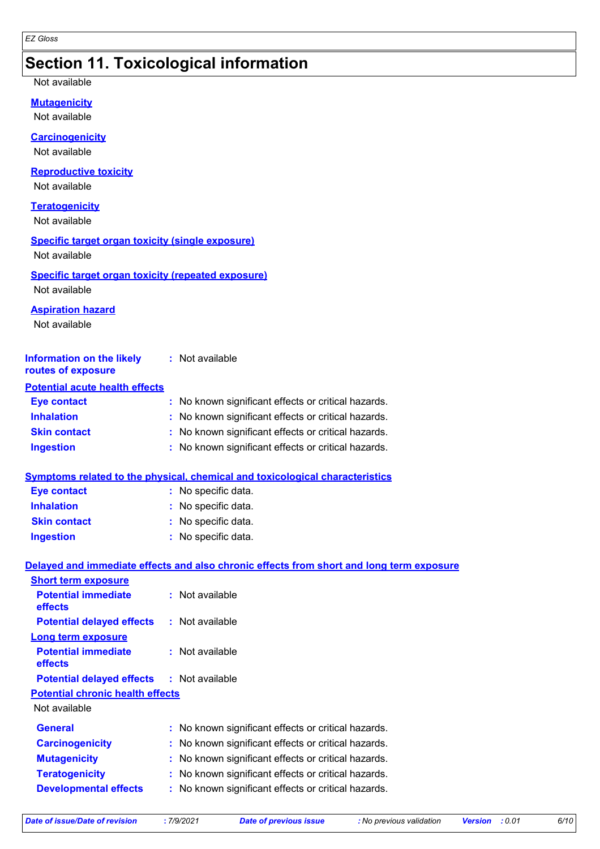# **Section 11. Toxicological information**

Not available

**Mutagenicity**

Not available

#### **Carcinogenicity**

Not available

#### **Reproductive toxicity**

Not available

#### **Teratogenicity**

Not available

### **Specific target organ toxicity (single exposure)**

Not available

#### **Specific target organ toxicity (repeated exposure)** Not available

#### **Aspiration hazard**

Not available

| <b>Information on the likely</b><br>routes of exposure | : Not available                                     |
|--------------------------------------------------------|-----------------------------------------------------|
| <b>Potential acute health effects</b>                  |                                                     |
| <b>Eye contact</b>                                     | : No known significant effects or critical hazards. |
| <b>Inhalation</b>                                      | : No known significant effects or critical hazards. |
| <b>Skin contact</b>                                    | : No known significant effects or critical hazards. |
| <b>Ingestion</b>                                       | : No known significant effects or critical hazards. |

### **Symptoms related to the physical, chemical and toxicological characteristics**

| <b>Eye contact</b>  | : No specific data. |
|---------------------|---------------------|
| <b>Inhalation</b>   | : No specific data. |
| <b>Skin contact</b> | : No specific data. |
| <b>Ingestion</b>    | : No specific data. |

### **Delayed and immediate effects and also chronic effects from short and long term exposure**

| : Not available                                     |
|-----------------------------------------------------|
| : Not available<br><b>Potential delayed effects</b> |
|                                                     |
| : Not available                                     |
| <b>Potential delayed effects : Not available</b>    |
| <b>Potential chronic health effects</b>             |
|                                                     |
| : No known significant effects or critical hazards. |
| No known significant effects or critical hazards.   |
| No known significant effects or critical hazards.   |
| No known significant effects or critical hazards.   |
| No known significant effects or critical hazards.   |
|                                                     |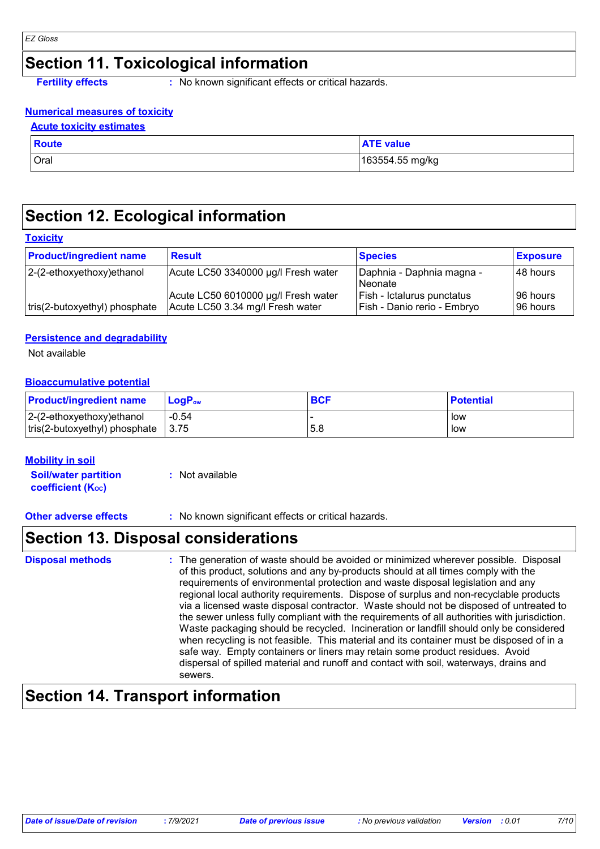# **Section 11. Toxicological information**

**Fertility effects** : No known significant effects or critical hazards.

### **Numerical measures of toxicity**

### **Acute toxicity estimates**

| <b>Route</b> | <b>TE</b> value |
|--------------|-----------------|
| Oral         | 163554.55 mg/kg |

# **Section 12. Ecological information**

### **Toxicity**

| <b>Product/ingredient name</b> | <b>Result</b>                                                           | <b>Species</b>                                            | <b>Exposure</b>          |
|--------------------------------|-------------------------------------------------------------------------|-----------------------------------------------------------|--------------------------|
| $ 2-(2-ethoxyethoxy)e$ thanol  | Acute LC50 3340000 µg/l Fresh water                                     | Daphnia - Daphnia magna -<br>Neonate                      | I48 hours                |
| tris(2-butoxyethyl) phosphate  | Acute LC50 6010000 µg/l Fresh water<br>Acute LC50 3.34 mg/l Fresh water | Fish - Ictalurus punctatus<br>Fish - Danio rerio - Embryo | I96 hours l<br>196 hours |

### **Persistence and degradability**

Not available

### **Bioaccumulative potential**

| <b>Product/ingredient name</b>                     | <b>LogP</b> <sub>ow</sub> | <b>BCF</b> | <b>Potential</b> |
|----------------------------------------------------|---------------------------|------------|------------------|
| $ 2-(2-ethoxyethoxy)ethanol$                       | $-0.54$                   |            | low              |
| $\vert$ tris(2-butoxyethyl) phosphate $\vert$ 3.75 |                           | 5.8        | low              |

### **Mobility in soil**

**Soil/water partition coefficient (KOC) :** Not available

**Other adverse effects** : No known significant effects or critical hazards.

### **Section 13. Disposal considerations**

| <b>Disposal methods</b> | : The generation of waste should be avoided or minimized wherever possible. Disposal<br>of this product, solutions and any by-products should at all times comply with the<br>requirements of environmental protection and waste disposal legislation and any<br>regional local authority requirements. Dispose of surplus and non-recyclable products<br>via a licensed waste disposal contractor. Waste should not be disposed of untreated to<br>the sewer unless fully compliant with the requirements of all authorities with jurisdiction.<br>Waste packaging should be recycled. Incineration or landfill should only be considered<br>when recycling is not feasible. This material and its container must be disposed of in a<br>safe way. Empty containers or liners may retain some product residues. Avoid<br>dispersal of spilled material and runoff and contact with soil, waterways, drains and<br>sewers. |
|-------------------------|----------------------------------------------------------------------------------------------------------------------------------------------------------------------------------------------------------------------------------------------------------------------------------------------------------------------------------------------------------------------------------------------------------------------------------------------------------------------------------------------------------------------------------------------------------------------------------------------------------------------------------------------------------------------------------------------------------------------------------------------------------------------------------------------------------------------------------------------------------------------------------------------------------------------------|
|-------------------------|----------------------------------------------------------------------------------------------------------------------------------------------------------------------------------------------------------------------------------------------------------------------------------------------------------------------------------------------------------------------------------------------------------------------------------------------------------------------------------------------------------------------------------------------------------------------------------------------------------------------------------------------------------------------------------------------------------------------------------------------------------------------------------------------------------------------------------------------------------------------------------------------------------------------------|

# **Section 14. Transport information**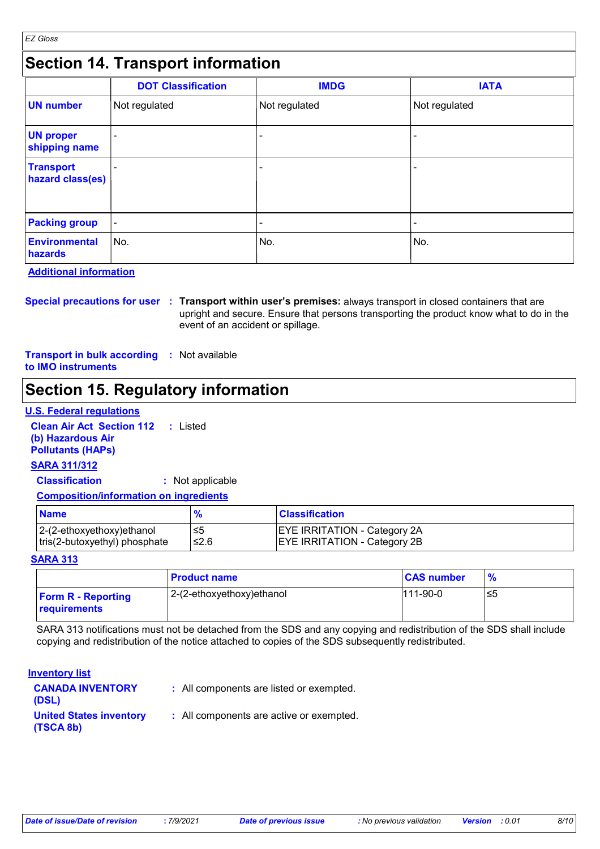# **Section 14. Transport information**

|                                      | <b>DOT Classification</b> | <b>IMDG</b>   | <b>IATA</b>   |
|--------------------------------------|---------------------------|---------------|---------------|
| <b>UN number</b>                     | Not regulated             | Not regulated | Not regulated |
| <b>UN proper</b><br>shipping name    |                           |               | ۰             |
| <b>Transport</b><br>hazard class(es) |                           | -             |               |
| <b>Packing group</b>                 | $\blacksquare$            | -             |               |
| <b>Environmental</b><br>hazards      | ∣No.                      | No.           | ∣No.          |

**Additional information**

**Special precautions for user Transport within user's premises:** always transport in closed containers that are **:** upright and secure. Ensure that persons transporting the product know what to do in the event of an accident or spillage.

**Transport in bulk according :** Not available **to IMO instruments**

# **Section 15. Regulatory information**

### **U.S. Federal regulations**

**Clean Air Act Section 112 :** Listed **(b) Hazardous Air Pollutants (HAPs)**

### **SARA 311/312**

**Classification :** Not applicable

#### **Composition/information on ingredients**

| <b>Name</b>                   |      | <b>Classification</b>               |
|-------------------------------|------|-------------------------------------|
| 2-(2-ethoxyethoxy)ethanol     | ל≥   | <b>EYE IRRITATION - Category 2A</b> |
| tris(2-butoxyethyl) phosphate | ≤2.6 | <b>EYE IRRITATION - Category 2B</b> |

### **SARA 313**

|                                           | <b>Product name</b>       | <b>CAS number</b> | $\frac{9}{6}$ |
|-------------------------------------------|---------------------------|-------------------|---------------|
| <b>Form R - Reporting</b><br>requirements | 2-(2-ethoxyethoxy)ethanol | $111-90-0$        | ≤5            |

SARA 313 notifications must not be detached from the SDS and any copying and redistribution of the SDS shall include copying and redistribution of the notice attached to copies of the SDS subsequently redistributed.

#### **Inventory list**

| <b>CANADA INVENTORY</b><br>(DSL)            | : All components are listed or exempted. |
|---------------------------------------------|------------------------------------------|
| <b>United States inventory</b><br>(TSCA 8b) | : All components are active or exempted. |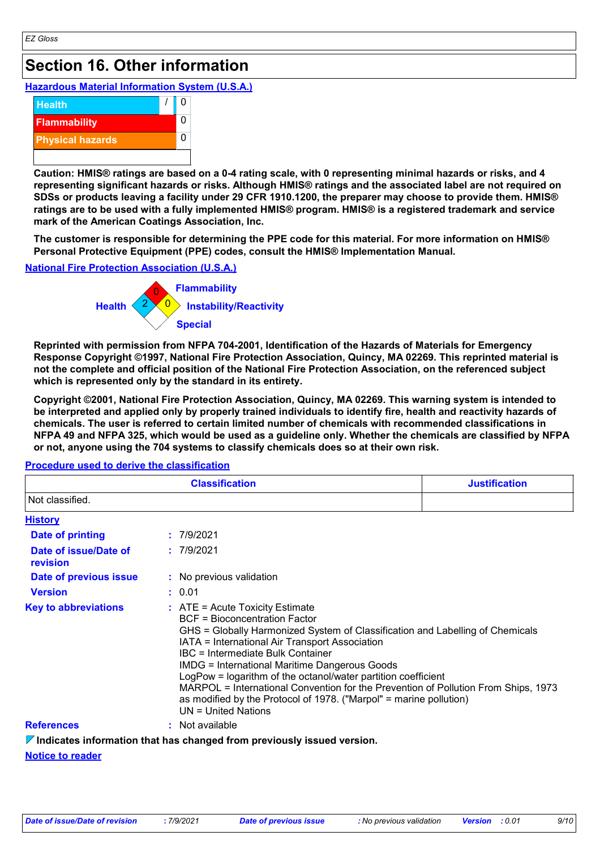# **Section 16. Other information**

### **Hazardous Material Information System (U.S.A.)**



**Caution: HMIS® ratings are based on a 0-4 rating scale, with 0 representing minimal hazards or risks, and 4 representing significant hazards or risks. Although HMIS® ratings and the associated label are not required on SDSs or products leaving a facility under 29 CFR 1910.1200, the preparer may choose to provide them. HMIS® ratings are to be used with a fully implemented HMIS® program. HMIS® is a registered trademark and service mark of the American Coatings Association, Inc.**

**The customer is responsible for determining the PPE code for this material. For more information on HMIS® Personal Protective Equipment (PPE) codes, consult the HMIS® Implementation Manual.**

### **National Fire Protection Association (U.S.A.)**



**Reprinted with permission from NFPA 704-2001, Identification of the Hazards of Materials for Emergency Response Copyright ©1997, National Fire Protection Association, Quincy, MA 02269. This reprinted material is not the complete and official position of the National Fire Protection Association, on the referenced subject which is represented only by the standard in its entirety.**

**Copyright ©2001, National Fire Protection Association, Quincy, MA 02269. This warning system is intended to be interpreted and applied only by properly trained individuals to identify fire, health and reactivity hazards of chemicals. The user is referred to certain limited number of chemicals with recommended classifications in NFPA 49 and NFPA 325, which would be used as a guideline only. Whether the chemicals are classified by NFPA or not, anyone using the 704 systems to classify chemicals does so at their own risk.**

|                                   | <b>Justification</b>                                                                                                                                                                                                                                                                                                                                                                                                                                                                                                                                                     |  |
|-----------------------------------|--------------------------------------------------------------------------------------------------------------------------------------------------------------------------------------------------------------------------------------------------------------------------------------------------------------------------------------------------------------------------------------------------------------------------------------------------------------------------------------------------------------------------------------------------------------------------|--|
| Not classified.                   |                                                                                                                                                                                                                                                                                                                                                                                                                                                                                                                                                                          |  |
| <b>History</b>                    |                                                                                                                                                                                                                                                                                                                                                                                                                                                                                                                                                                          |  |
| <b>Date of printing</b>           | : 7/9/2021                                                                                                                                                                                                                                                                                                                                                                                                                                                                                                                                                               |  |
| Date of issue/Date of<br>revision | : 7/9/2021                                                                                                                                                                                                                                                                                                                                                                                                                                                                                                                                                               |  |
| Date of previous issue            | : No previous validation                                                                                                                                                                                                                                                                                                                                                                                                                                                                                                                                                 |  |
| <b>Version</b>                    | : 0.01                                                                                                                                                                                                                                                                                                                                                                                                                                                                                                                                                                   |  |
| <b>Key to abbreviations</b>       | $\therefore$ ATE = Acute Toxicity Estimate<br>BCF = Bioconcentration Factor<br>GHS = Globally Harmonized System of Classification and Labelling of Chemicals<br>IATA = International Air Transport Association<br><b>IBC</b> = Intermediate Bulk Container<br><b>IMDG = International Maritime Dangerous Goods</b><br>LogPow = logarithm of the octanol/water partition coefficient<br>MARPOL = International Convention for the Prevention of Pollution From Ships, 1973<br>as modified by the Protocol of 1978. ("Marpol" = marine pollution)<br>$UN = United Nations$ |  |
| <b>References</b>                 | : Not available                                                                                                                                                                                                                                                                                                                                                                                                                                                                                                                                                          |  |
|                                   | $\triangledown$ Indicates information that has changed from previously issued version.                                                                                                                                                                                                                                                                                                                                                                                                                                                                                   |  |

### **Procedure used to derive the classification**

### **Notice to reader**